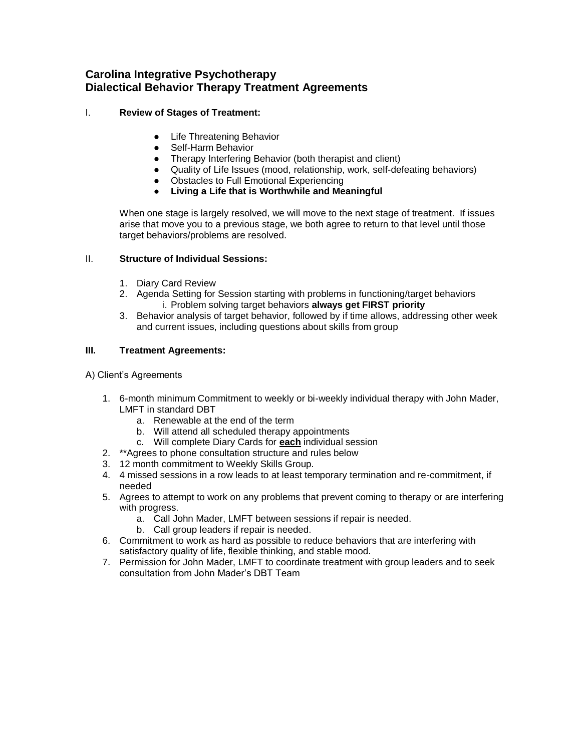# **Carolina Integrative Psychotherapy Dialectical Behavior Therapy Treatment Agreements**

# I. **Review of Stages of Treatment:**

- Life Threatening Behavior
- Self-Harm Behavior
- Therapy Interfering Behavior (both therapist and client)
- Quality of Life Issues (mood, relationship, work, self-defeating behaviors)
- Gatally of Life Issues (Inseq. Figures), becausing
- **Living a Life that is Worthwhile and Meaningful**

When one stage is largely resolved, we will move to the next stage of treatment. If issues arise that move you to a previous stage, we both agree to return to that level until those target behaviors/problems are resolved.

#### II. **Structure of Individual Sessions:**

- 1. Diary Card Review
- 2. Agenda Setting for Session starting with problems in functioning/target behaviors i. Problem solving target behaviors **always get FIRST priority**
- 3. Behavior analysis of target behavior, followed by if time allows, addressing other week and current issues, including questions about skills from group

# **III. Treatment Agreements:**

### A) Client's Agreements

- 1. 6-month minimum Commitment to weekly or bi-weekly individual therapy with John Mader, LMFT in standard DBT
	- a. Renewable at the end of the term
	- b. Will attend all scheduled therapy appointments
	- c. Will complete Diary Cards for **each** individual session
- 2. \*\*Agrees to phone consultation structure and rules below
- 3. 12 month commitment to Weekly Skills Group.
- 4. 4 missed sessions in a row leads to at least temporary termination and re-commitment, if needed
- 5. Agrees to attempt to work on any problems that prevent coming to therapy or are interfering with progress.
	- a. Call John Mader, LMFT between sessions if repair is needed.
	- b. Call group leaders if repair is needed.
- 6. Commitment to work as hard as possible to reduce behaviors that are interfering with satisfactory quality of life, flexible thinking, and stable mood.
- 7. Permission for John Mader, LMFT to coordinate treatment with group leaders and to seek consultation from John Mader's DBT Team